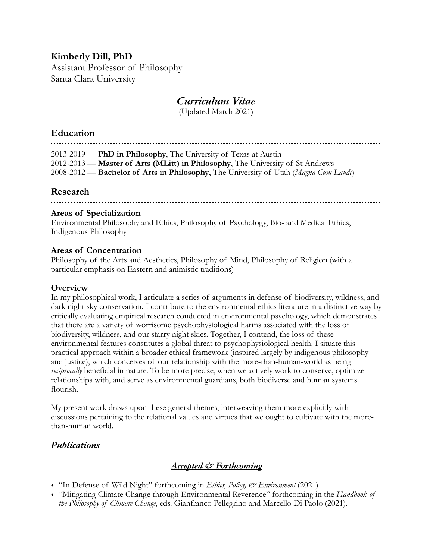## **Kimberly Dill, PhD**

Assistant Professor of Philosophy Santa Clara University

## *Curriculum Vitae*

(Updated March 2021)

## **Education**

2013-2019 — **PhD in Philosophy**, The University of Texas at Austin 2012-2013 — **Master of Arts (MLitt) in Philosophy**, The University of St Andrews 2008-2012 — **Bachelor of Arts in Philosophy**, The University of Utah (*Magna Cum Laude*)

## **Research**

#### **Areas of Specialization**

Environmental Philosophy and Ethics, Philosophy of Psychology, Bio- and Medical Ethics, Indigenous Philosophy

#### **Areas of Concentration**

Philosophy of the Arts and Aesthetics, Philosophy of Mind, Philosophy of Religion (with a particular emphasis on Eastern and animistic traditions)

#### **Overview**

In my philosophical work, I articulate a series of arguments in defense of biodiversity, wildness, and dark night sky conservation. I contribute to the environmental ethics literature in a distinctive way by critically evaluating empirical research conducted in environmental psychology, which demonstrates that there are a variety of worrisome psychophysiological harms associated with the loss of biodiversity, wildness, and our starry night skies. Together, I contend, the loss of these environmental features constitutes a global threat to psychophysiological health. I situate this practical approach within a broader ethical framework (inspired largely by indigenous philosophy and justice), which conceives of our relationship with the more-than-human-world as being *reciprocally* beneficial in nature. To be more precise, when we actively work to conserve, optimize relationships with, and serve as environmental guardians, both biodiverse and human systems flourish.

My present work draws upon these general themes, interweaving them more explicitly with discussions pertaining to the relational values and virtues that we ought to cultivate with the morethan-human world.

## *Publications*

#### *Accepted & Forthcoming*

- "In Defense of Wild Night" forthcoming in *Ethics, Policy, & Environment* (2021)
- "Mitigating Climate Change through Environmental Reverence" forthcoming in the *Handbook of the Philosophy of Climate Change*, eds. Gianfranco Pellegrino and Marcello Di Paolo (2021).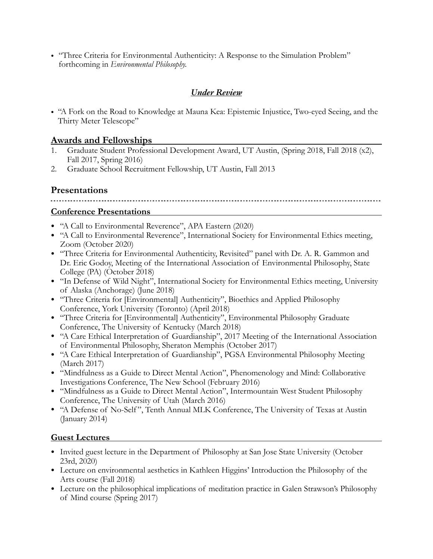• "Three Criteria for Environmental Authenticity: A Response to the Simulation Problem" forthcoming in *Environmental Philosophy.*

#### *Under Review*

• "A Fork on the Road to Knowledge at Mauna Kea: Epistemic Injustice, Two-eyed Seeing, and the Thirty Meter Telescope"

#### **Awards and Fellowships**

- 1. Graduate Student Professional Development Award, UT Austin, (Spring 2018, Fall 2018 (x2), Fall 2017, Spring 2016)
- 2. Graduate School Recruitment Fellowship, UT Austin, Fall 2013

## **Presentations**

# **Conference Presentations**

- "A Call to Environmental Reverence", APA Eastern (2020)
- "A Call to Environmental Reverence", International Society for Environmental Ethics meeting, Zoom (October 2020)
- "Three Criteria for Environmental Authenticity, Revisited" panel with Dr. A. R. Gammon and Dr. Eric Godoy, Meeting of the International Association of Environmental Philosophy, State College (PA) (October 2018)
- "In Defense of Wild Night", International Society for Environmental Ethics meeting, University of Alaska (Anchorage) (June 2018)
- "Three Criteria for [Environmental] Authenticity", Bioethics and Applied Philosophy Conference, York University (Toronto) (April 2018)
- "Three Criteria for [Environmental] Authenticity", Environmental Philosophy Graduate Conference, The University of Kentucky (March 2018)
- "A Care Ethical Interpretation of Guardianship", 2017 Meeting of the International Association of Environmental Philosophy, Sheraton Memphis (October 2017)
- "A Care Ethical Interpretation of Guardianship", PGSA Environmental Philosophy Meeting (March 2017)
- "Mindfulness as a Guide to Direct Mental Action", Phenomenology and Mind: Collaborative Investigations Conference, The New School (February 2016)
- "Mindfulness as a Guide to Direct Mental Action", Intermountain West Student Philosophy Conference, The University of Utah (March 2016)
- "A Defense of No-Self", Tenth Annual MLK Conference, The University of Texas at Austin (January 2014)

#### **Guest Lectures**

- Invited guest lecture in the Department of Philosophy at San Jose State University (October 23rd, 2020)
- Lecture on environmental aesthetics in Kathleen Higgins' Introduction the Philosophy of the Arts course (Fall 2018)
- Lecture on the philosophical implications of meditation practice in Galen Strawson's Philosophy of Mind course (Spring 2017)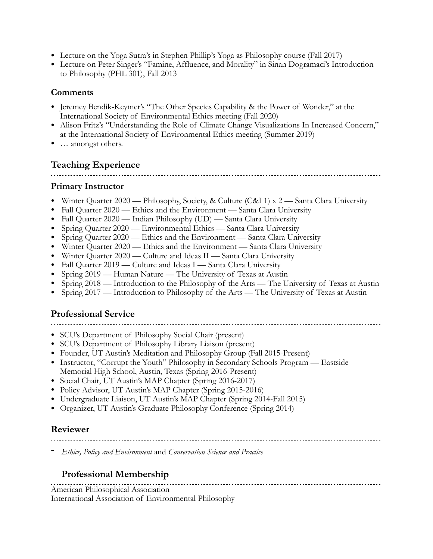- Lecture on the Yoga Sutra's in Stephen Phillip's Yoga as Philosophy course (Fall 2017)
- Lecture on Peter Singer's "Famine, Affluence, and Morality" in Sinan Dogramaci's Introduction to Philosophy (PHL 301), Fall 2013

#### **Comments**

- Jeremey Bendik-Keymer's "The Other Species Capability & the Power of Wonder," at the International Society of Environmental Ethics meeting (Fall 2020)
- Alison Fritz's "Understanding the Role of Climate Change Visualizations In Increased Concern," at the International Society of Environmental Ethics meeting (Summer 2019)
- ... amongst others.

## **Teaching Experience**

#### **Primary Instructor**

- Winter Quarter 2020 Philosophy, Society, & Culture (C&I 1) x 2 Santa Clara University
- Fall Quarter 2020 Ethics and the Environment Santa Clara University
- Fall Quarter 2020 Indian Philosophy (UD) Santa Clara University
- Spring Quarter 2020 Environmental Ethics Santa Clara University
- Spring Quarter 2020 Ethics and the Environment Santa Clara University
- Winter Quarter 2020 Ethics and the Environment Santa Clara University
- Winter Quarter 2020 Culture and Ideas II Santa Clara University
- Fall Quarter 2019 Culture and Ideas I Santa Clara University
- Spring 2019 Human Nature The University of Texas at Austin
- Spring 2018 Introduction to the Philosophy of the Arts The University of Texas at Austin
- Spring 2017 Introduction to Philosophy of the Arts The University of Texas at Austin

## **Professional Service**

- SCU's Department of Philosophy Social Chair (present)
- SCU's Department of Philosophy Library Liaison (present)
- Founder, UT Austin's Meditation and Philosophy Group (Fall 2015-Present)
- Instructor, "Corrupt the Youth" Philosophy in Secondary Schools Program Eastside Memorial High School, Austin, Texas (Spring 2016-Present)
- Social Chair, UT Austin's MAP Chapter (Spring 2016-2017)
- Policy Advisor, UT Austin's MAP Chapter (Spring 2015-2016)
- Undergraduate Liaison, UT Austin's MAP Chapter (Spring 2014-Fall 2015)
- Organizer, UT Austin's Graduate Philosophy Conference (Spring 2014)

#### **Reviewer**

**-** *Ethics, Policy and Environment* and *Conservation Science and Practice* 

## **Professional Membership**

American Philosophical Association International Association of Environmental Philosophy